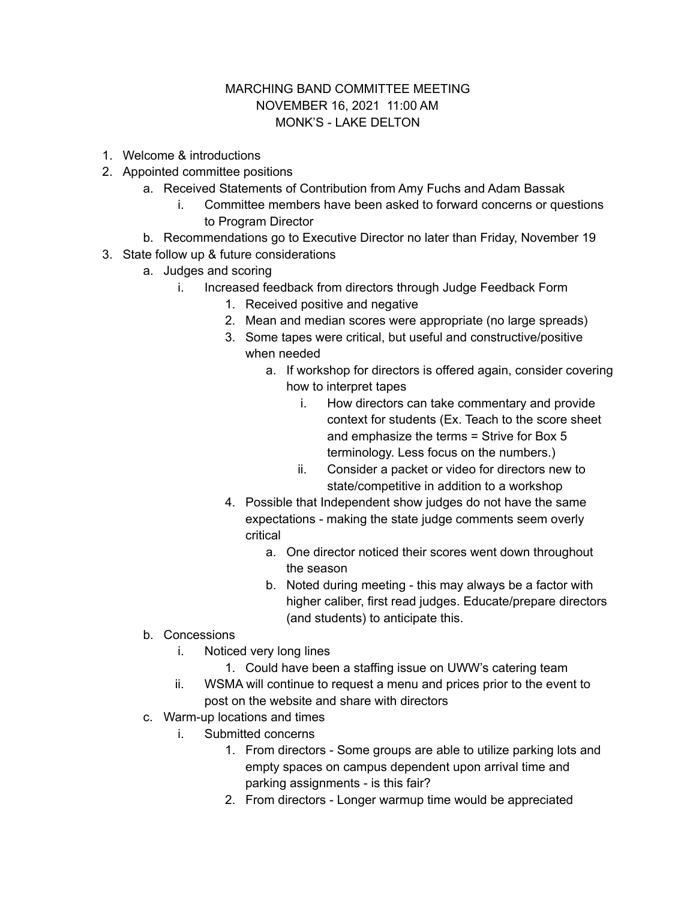## MARCHING BAND COMMITTEE MEETING NOVEMBER 16, 2021 11:00 AM MONK'S - LAKE DELTON

- 1. Welcome & introductions
- 2. Appointed committee positions
	- a. Received Statements of Contribution from Amy Fuchs and Adam Bassak
		- i. Committee members have been asked to forward concerns or questions to Program Director
	- b. Recommendations go to Executive Director no later than Friday, November 19
- 3. State follow up & future considerations
	- a. Judges and scoring
		- i. Increased feedback from directors through Judge Feedback Form
			- 1. Received positive and negative
			- 2. Mean and median scores were appropriate (no large spreads)
			- 3. Some tapes were critical, but useful and constructive/positive when needed
				- a. If workshop for directors is offered again, consider covering how to interpret tapes
					- i. How directors can take commentary and provide context for students (Ex. Teach to the score sheet and emphasize the terms = Strive for Box 5 terminology. Less focus on the numbers.)
					- ii. Consider a packet or video for directors new to state/competitive in addition to a workshop
			- 4. Possible that Independent show judges do not have the same expectations - making the state judge comments seem overly critical
				- a. One director noticed their scores went down throughout the season
				- b. Noted during meeting this may always be a factor with higher caliber, first read judges. Educate/prepare directors (and students) to anticipate this.
	- b. Concessions
		- i. Noticed very long lines
			- 1. Could have been a staffing issue on UWW's catering team
		- ii. WSMA will continue to request a menu and prices prior to the event to post on the website and share with directors
	- c. Warm-up locations and times
		- i. Submitted concerns
			- 1. From directors Some groups are able to utilize parking lots and empty spaces on campus dependent upon arrival time and parking assignments - is this fair?
			- 2. From directors Longer warmup time would be appreciated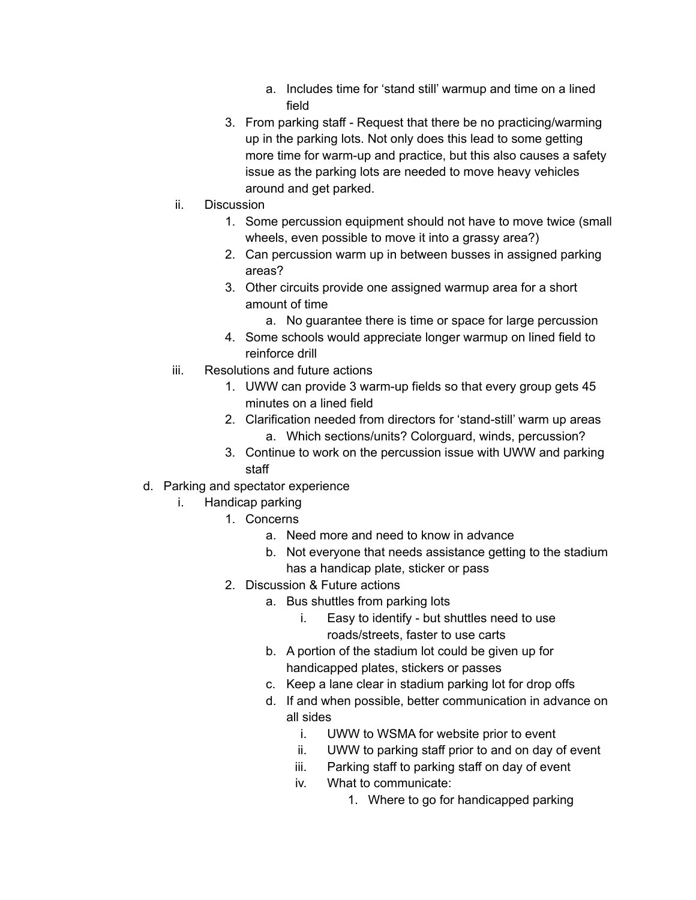- a. Includes time for 'stand still' warmup and time on a lined field
- 3. From parking staff Request that there be no practicing/warming up in the parking lots. Not only does this lead to some getting more time for warm-up and practice, but this also causes a safety issue as the parking lots are needed to move heavy vehicles around and get parked.
- ii. Discussion
	- 1. Some percussion equipment should not have to move twice (small wheels, even possible to move it into a grassy area?)
	- 2. Can percussion warm up in between busses in assigned parking areas?
	- 3. Other circuits provide one assigned warmup area for a short amount of time
		- a. No guarantee there is time or space for large percussion
	- 4. Some schools would appreciate longer warmup on lined field to reinforce drill
- iii. Resolutions and future actions
	- 1. UWW can provide 3 warm-up fields so that every group gets 45 minutes on a lined field
	- 2. Clarification needed from directors for 'stand-still' warm up areas a. Which sections/units? Colorguard, winds, percussion?
	- 3. Continue to work on the percussion issue with UWW and parking staff
- d. Parking and spectator experience
	- i. Handicap parking
		- 1. Concerns
			- a. Need more and need to know in advance
			- b. Not everyone that needs assistance getting to the stadium has a handicap plate, sticker or pass
		- 2. Discussion & Future actions
			- a. Bus shuttles from parking lots
				- i. Easy to identify but shuttles need to use roads/streets, faster to use carts
				- b. A portion of the stadium lot could be given up for handicapped plates, stickers or passes
				- c. Keep a lane clear in stadium parking lot for drop offs
				- d. If and when possible, better communication in advance on all sides
					- i. UWW to WSMA for website prior to event
					- ii. UWW to parking staff prior to and on day of event
					- iii. Parking staff to parking staff on day of event
					- iv. What to communicate:
						- 1. Where to go for handicapped parking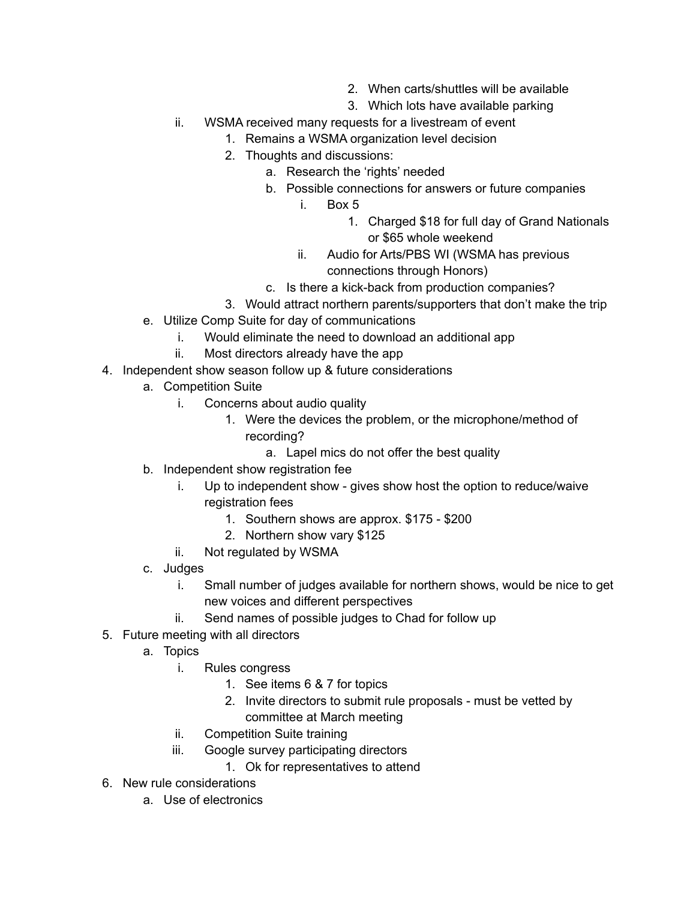- 2. When carts/shuttles will be available
- 3. Which lots have available parking
- ii. WSMA received many requests for a livestream of event
	- 1. Remains a WSMA organization level decision
	- 2. Thoughts and discussions:
		- a. Research the 'rights' needed
		- b. Possible connections for answers or future companies
			- i. Box 5
				- 1. Charged \$18 for full day of Grand Nationals or \$65 whole weekend
			- ii. Audio for Arts/PBS WI (WSMA has previous connections through Honors)
		- c. Is there a kick-back from production companies?
	- 3. Would attract northern parents/supporters that don't make the trip
- e. Utilize Comp Suite for day of communications
	- i. Would eliminate the need to download an additional app
	- ii. Most directors already have the app
- 4. Independent show season follow up & future considerations
	- a. Competition Suite
		- i. Concerns about audio quality
			- 1. Were the devices the problem, or the microphone/method of recording?
				- a. Lapel mics do not offer the best quality
	- b. Independent show registration fee
		- i. Up to independent show gives show host the option to reduce/waive registration fees
			- 1. Southern shows are approx. \$175 \$200
			- 2. Northern show vary \$125
		- ii. Not regulated by WSMA
	- c. Judges
		- i. Small number of judges available for northern shows, would be nice to get new voices and different perspectives
		- ii. Send names of possible judges to Chad for follow up
- 5. Future meeting with all directors
	- a. Topics
		- i. Rules congress
			- 1. See items 6 & 7 for topics
			- 2. Invite directors to submit rule proposals must be vetted by committee at March meeting
		- ii. Competition Suite training
		- iii. Google survey participating directors
			- 1. Ok for representatives to attend
- 6. New rule considerations
	- a. Use of electronics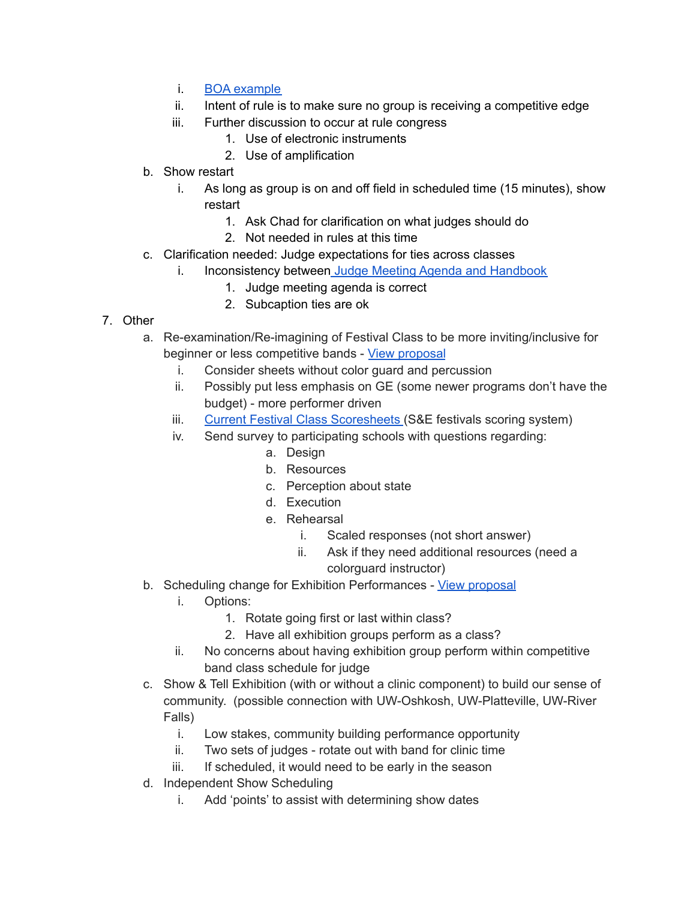- i. BOA [example](https://docs.google.com/document/d/1nbGJ4seFJvtQnRPEFU9VGoAeMO9rhVn4sfOoUpveQmw/edit?usp=sharing)
- ii. Intent of rule is to make sure no group is receiving a competitive edge
- iii. Further discussion to occur at rule congress
	- 1. Use of electronic instruments
	- 2. Use of amplification
- b. Show restart
	- i. As long as group is on and off field in scheduled time (15 minutes), show restart
		- 1. Ask Chad for clarification on what judges should do
		- 2. Not needed in rules at this time
- c. Clarification needed: Judge expectations for ties across classes
	- i. Inconsistency between Judge Meeting Agenda and [Handbook](https://docs.google.com/document/d/1Vqx0GzWBIm0zCcmXylj5IF8F8Lr6Lrpw6Q_7d-n8DAs/edit?usp=sharing)
		- 1. Judge meeting agenda is correct
		- 2. Subcaption ties are ok
- 7. Other
	- a. Re-examination/Re-imagining of Festival Class to be more inviting/inclusive for beginner or less competitive bands - View [proposal](https://docs.google.com/document/d/1byHLQragT-qUWx3382NLbzJDsm8fCg2Ji6-sqVmeC5Q/edit?usp=sharing)
		- i. Consider sheets without color guard and percussion
		- ii. Possibly put less emphasis on GE (some newer programs don't have the budget) - more performer driven
		- iii. Current Festival Class [Scoresheets](https://drive.google.com/drive/folders/1TO0St5Ivt9qEfpA5kLsfViYlq38cPOnV?usp=sharing) (S&E festivals scoring system)
		- iv. Send survey to participating schools with questions regarding:
			- a. Design
			- b. Resources
			- c. Perception about state
			- d. Execution
			- e. Rehearsal
				- i. Scaled responses (not short answer)
				- ii. Ask if they need additional resources (need a colorguard instructor)
	- b. Scheduling change for Exhibition Performances View [proposal](https://drive.google.com/file/d/18UzgUdTdGdDohrkCju2EM0OPxCl_b-Z9/view?usp=sharing)
		- i. Options:
			- 1. Rotate going first or last within class?
			- 2. Have all exhibition groups perform as a class?
		- ii. No concerns about having exhibition group perform within competitive band class schedule for judge
	- c. Show & Tell Exhibition (with or without a clinic component) to build our sense of community. (possible connection with UW-Oshkosh, UW-Platteville, UW-River Falls)
		- i. Low stakes, community building performance opportunity
		- ii. Two sets of judges rotate out with band for clinic time
		- iii. If scheduled, it would need to be early in the season
	- d. Independent Show Scheduling
		- i. Add 'points' to assist with determining show dates